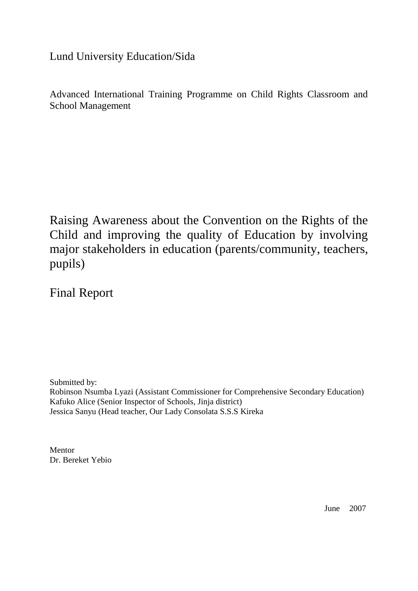Lund University Education/Sida

Advanced International Training Programme on Child Rights Classroom and School Management

Raising Awareness about the Convention on the Rights of the Child and improving the quality of Education by involving major stakeholders in education (parents/community, teachers, pupils)

Final Report

Submitted by: Robinson Nsumba Lyazi (Assistant Commissioner for Comprehensive Secondary Education) Kafuko Alice (Senior Inspector of Schools, Jinja district) Jessica Sanyu (Head teacher, Our Lady Consolata S.S.S Kireka

Mentor Dr. Bereket Yebio

June 2007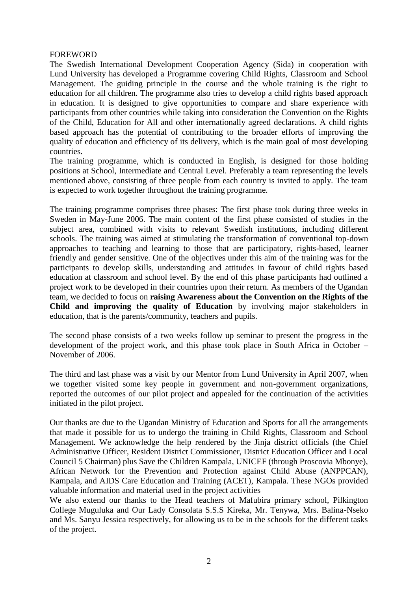#### FOREWORD

The Swedish International Development Cooperation Agency (Sida) in cooperation with Lund University has developed a Programme covering Child Rights, Classroom and School Management. The guiding principle in the course and the whole training is the right to education for all children. The programme also tries to develop a child rights based approach in education. It is designed to give opportunities to compare and share experience with participants from other countries while taking into consideration the Convention on the Rights of the Child, Education for All and other internationally agreed declarations. A child rights based approach has the potential of contributing to the broader efforts of improving the quality of education and efficiency of its delivery, which is the main goal of most developing countries.

The training programme, which is conducted in English, is designed for those holding positions at School, Intermediate and Central Level. Preferably a team representing the levels mentioned above, consisting of three people from each country is invited to apply. The team is expected to work together throughout the training programme.

The training programme comprises three phases: The first phase took during three weeks in Sweden in May-June 2006. The main content of the first phase consisted of studies in the subject area, combined with visits to relevant Swedish institutions, including different schools. The training was aimed at stimulating the transformation of conventional top-down approaches to teaching and learning to those that are participatory, rights-based, learner friendly and gender sensitive. One of the objectives under this aim of the training was for the participants to develop skills, understanding and attitudes in favour of child rights based education at classroom and school level. By the end of this phase participants had outlined a project work to be developed in their countries upon their return. As members of the Ugandan team, we decided to focus on **raising Awareness about the Convention on the Rights of the Child and improving the quality of Education** by involving major stakeholders in education, that is the parents/community, teachers and pupils.

The second phase consists of a two weeks follow up seminar to present the progress in the development of the project work, and this phase took place in South Africa in October – November of 2006.

The third and last phase was a visit by our Mentor from Lund University in April 2007, when we together visited some key people in government and non-government organizations, reported the outcomes of our pilot project and appealed for the continuation of the activities initiated in the pilot project.

Our thanks are due to the Ugandan Ministry of Education and Sports for all the arrangements that made it possible for us to undergo the training in Child Rights, Classroom and School Management. We acknowledge the help rendered by the Jinja district officials (the Chief Administrative Officer, Resident District Commissioner, District Education Officer and Local Council 5 Chairman) plus Save the Children Kampala, UNICEF (through Proscovia Mbonye), African Network for the Prevention and Protection against Child Abuse (ANPPCAN), Kampala, and AIDS Care Education and Training (ACET), Kampala. These NGOs provided valuable information and material used in the project activities

We also extend our thanks to the Head teachers of Mafubira primary school, Pilkington College Muguluka and Our Lady Consolata S.S.S Kireka, Mr. Tenywa, Mrs. Balina-Nseko and Ms. Sanyu Jessica respectively, for allowing us to be in the schools for the different tasks of the project.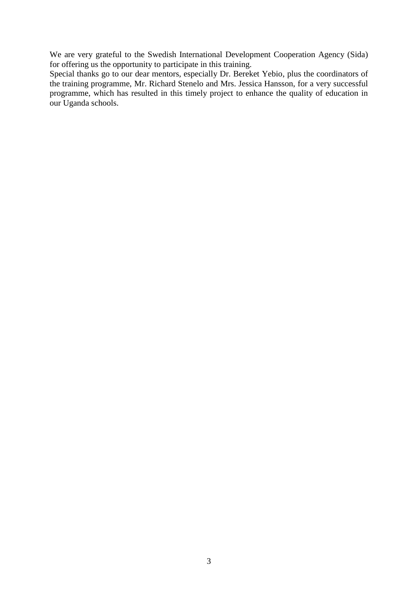We are very grateful to the Swedish International Development Cooperation Agency (Sida) for offering us the opportunity to participate in this training.

Special thanks go to our dear mentors, especially Dr. Bereket Yebio, plus the coordinators of the training programme, Mr. Richard Stenelo and Mrs. Jessica Hansson, for a very successful programme, which has resulted in this timely project to enhance the quality of education in our Uganda schools.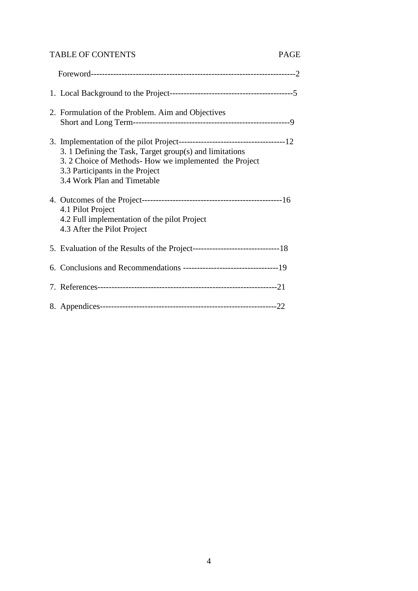# TABLE OF CONTENTS PAGE

| 2. Formulation of the Problem. Aim and Objectives                                                                                                                                   |  |
|-------------------------------------------------------------------------------------------------------------------------------------------------------------------------------------|--|
| 3. 1 Defining the Task, Target group(s) and limitations<br>3. 2 Choice of Methods- How we implemented the Project<br>3.3 Participants in the Project<br>3.4 Work Plan and Timetable |  |
| 4.1 Pilot Project<br>4.2 Full implementation of the pilot Project<br>4.3 After the Pilot Project                                                                                    |  |
|                                                                                                                                                                                     |  |
|                                                                                                                                                                                     |  |
|                                                                                                                                                                                     |  |
|                                                                                                                                                                                     |  |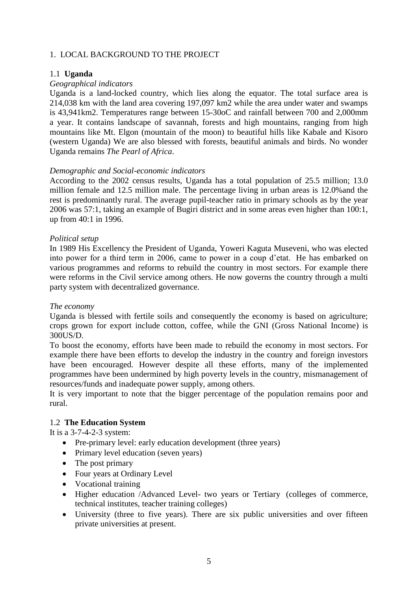# 1. LOCAL BACKGROUND TO THE PROJECT

# 1.1 **Uganda**

## *Geographical indicators*

Uganda is a land-locked country, which lies along the equator. The total surface area is 214,038 km with the land area covering 197,097 km2 while the area under water and swamps is 43,941km2. Temperatures range between 15-30oC and rainfall between 700 and 2,000mm a year. It contains landscape of savannah, forests and high mountains, ranging from high mountains like Mt. Elgon (mountain of the moon) to beautiful hills like Kabale and Kisoro (western Uganda) We are also blessed with forests, beautiful animals and birds. No wonder Uganda remains *The Pearl of Africa*.

## *Demographic and Social-economic indicators*

According to the 2002 census results, Uganda has a total population of 25.5 million; 13.0 million female and 12.5 million male. The percentage living in urban areas is 12.0%and the rest is predominantly rural. The average pupil-teacher ratio in primary schools as by the year 2006 was 57:1, taking an example of Bugiri district and in some areas even higher than 100:1, up from 40:1 in 1996.

## *Political setup*

In 1989 His Excellency the President of Uganda, Yoweri Kaguta Museveni, who was elected into power for a third term in 2006, came to power in a coup d'etat. He has embarked on various programmes and reforms to rebuild the country in most sectors. For example there were reforms in the Civil service among others. He now governs the country through a multi party system with decentralized governance.

#### *The economy*

Uganda is blessed with fertile soils and consequently the economy is based on agriculture; crops grown for export include cotton, coffee, while the GNI (Gross National Income) is 300US/D.

To boost the economy, efforts have been made to rebuild the economy in most sectors. For example there have been efforts to develop the industry in the country and foreign investors have been encouraged. However despite all these efforts, many of the implemented programmes have been undermined by high poverty levels in the country, mismanagement of resources/funds and inadequate power supply, among others.

It is very important to note that the bigger percentage of the population remains poor and rural.

# 1.2 **The Education System**

It is a 3-7-4-2-3 system:

- Pre-primary level: early education development (three years)
- Primary level education (seven years)
- The post primary
- Four years at Ordinary Level
- Vocational training
- Higher education /Advanced Level- two years or Tertiary (colleges of commerce, technical institutes, teacher training colleges)
- University (three to five years). There are six public universities and over fifteen private universities at present.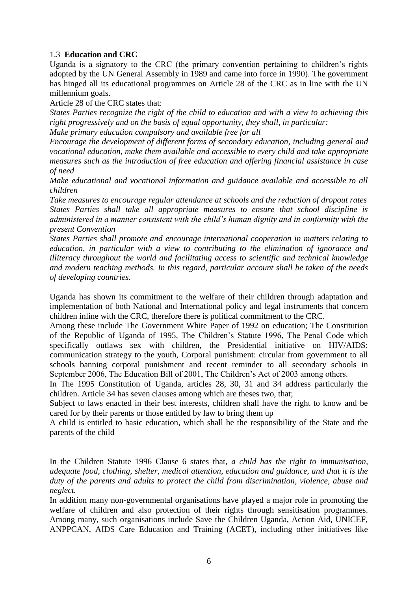## 1.3 **Education and CRC**

Uganda is a signatory to the CRC (the primary convention pertaining to children's rights adopted by the UN General Assembly in 1989 and came into force in 1990). The government has hinged all its educational programmes on Article 28 of the CRC as in line with the UN millennium goals.

Article 28 of the CRC states that:

*States Parties recognize the right of the child to education and with a view to achieving this right progressively and on the basis of equal opportunity, they shall, in particular:*

*Make primary education compulsory and available free for all*

*Encourage the development of different forms of secondary education, including general and vocational education, make them available and accessible to every child and take appropriate measures such as the introduction of free education and offering financial assistance in case of need*

*Make educational and vocational information and guidance available and accessible to all children*

*Take measures to encourage regular attendance at schools and the reduction of dropout rates States Parties shall take all appropriate measures to ensure that school discipline is administered in a manner consistent with the child's human dignity and in conformity with the present Convention*

*States Parties shall promote and encourage international cooperation in matters relating to education, in particular with a view to contributing to the elimination of ignorance and illiteracy throughout the world and facilitating access to scientific and technical knowledge and modern teaching methods. In this regard, particular account shall be taken of the needs of developing countries.* 

Uganda has shown its commitment to the welfare of their children through adaptation and implementation of both National and International policy and legal instruments that concern children inline with the CRC, therefore there is political commitment to the CRC.

Among these include The Government White Paper of 1992 on education; The Constitution of the Republic of Uganda of 1995, The Children's Statute 1996, The Penal Code which specifically outlaws sex with children, the Presidential initiative on HIV/AIDS: communication strategy to the youth, Corporal punishment: circular from government to all schools banning corporal punishment and recent reminder to all secondary schools in September 2006, The Education Bill of 2001, The Children's Act of 2003 among others.

In The 1995 Constitution of Uganda, articles 28, 30, 31 and 34 address particularly the children. Article 34 has seven clauses among which are theses two, that;

Subject to laws enacted in their best interests, children shall have the right to know and be cared for by their parents or those entitled by law to bring them up

A child is entitled to basic education, which shall be the responsibility of the State and the parents of the child

In the Children Statute 1996 Clause 6 states that, *a child has the right to immunisation, adequate food, clothing, shelter, medical attention, education and guidance, and that it is the duty of the parents and adults to protect the child from discrimination, violence, abuse and neglect.*

In addition many non-governmental organisations have played a major role in promoting the welfare of children and also protection of their rights through sensitisation programmes. Among many, such organisations include Save the Children Uganda, Action Aid, UNICEF, ANPPCAN, AIDS Care Education and Training (ACET), including other initiatives like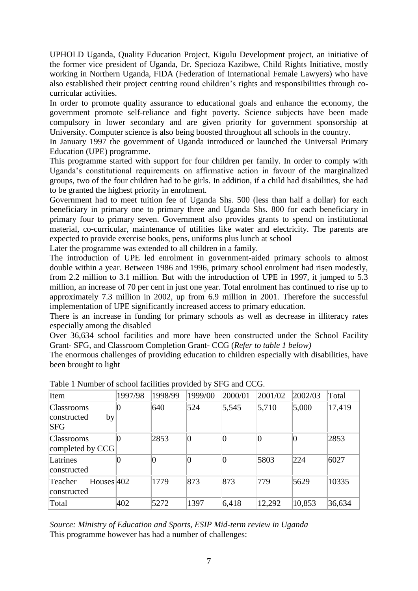UPHOLD Uganda, Quality Education Project, Kigulu Development project, an initiative of the former vice president of Uganda, Dr. Specioza Kazibwe, Child Rights Initiative, mostly working in Northern Uganda, FIDA (Federation of International Female Lawyers) who have also established their project centring round children's rights and responsibilities through cocurricular activities.

In order to promote quality assurance to educational goals and enhance the economy, the government promote self-reliance and fight poverty. Science subjects have been made compulsory in lower secondary and are given priority for government sponsorship at University. Computer science is also being boosted throughout all schools in the country.

In January 1997 the government of Uganda introduced or launched the Universal Primary Education (UPE) programme.

This programme started with support for four children per family. In order to comply with Uganda's constitutional requirements on affirmative action in favour of the marginalized groups, two of the four children had to be girls. In addition, if a child had disabilities, she had to be granted the highest priority in enrolment.

Government had to meet tuition fee of Uganda Shs. 500 (less than half a dollar) for each beneficiary in primary one to primary three and Uganda Shs. 800 for each beneficiary in primary four to primary seven. Government also provides grants to spend on institutional material, co-curricular, maintenance of utilities like water and electricity. The parents are expected to provide exercise books, pens, uniforms plus lunch at school

Later the programme was extended to all children in a family.

The introduction of UPE led enrolment in government-aided primary schools to almost double within a year. Between 1986 and 1996, primary school enrolment had risen modestly, from 2.2 million to 3.1 million. But with the introduction of UPE in 1997, it jumped to 5.3 million, an increase of 70 per cent in just one year. Total enrolment has continued to rise up to approximately 7.3 million in 2002, up from 6.9 million in 2001. Therefore the successful implementation of UPE significantly increased access to primary education.

There is an increase in funding for primary schools as well as decrease in illiteracy rates especially among the disabled

Over 36,634 school facilities and more have been constructed under the School Facility Grant- SFG, and Classroom Completion Grant- CCG (*Refer to table 1 below)*

The enormous challenges of providing education to children especially with disabilities, have been brought to light

| Item                                                 | 1997/98 | 1998/99        | 1999/00 | 2000/01 | 2001/02        | 2002/03 | Total  |
|------------------------------------------------------|---------|----------------|---------|---------|----------------|---------|--------|
| <b>Classrooms</b><br>by<br>constructed<br><b>SFG</b> |         | 640            | 524     | 5,545   | 5,710          | 5,000   | 17,419 |
| <b>Classrooms</b><br>completed by CCG                |         | 2853           | $ 0\>$  | 0       | $\overline{0}$ | 0       | 2853   |
| Latrines<br>constructed                              |         | $\overline{0}$ | 0       | 0       | 5803           | 224     | 6027   |
| Houses $ 402 $<br>Teacher<br>constructed             |         | 1779           | 873     | 873     | 779            | 5629    | 10335  |
| Total                                                | 402     | 5272           | 1397    | 6,418   | 12,292         | 10,853  | 36,634 |

Table 1 Number of school facilities provided by SFG and CCG.

*Source: Ministry of Education and Sports, ESIP Mid-term review in Uganda*  This programme however has had a number of challenges: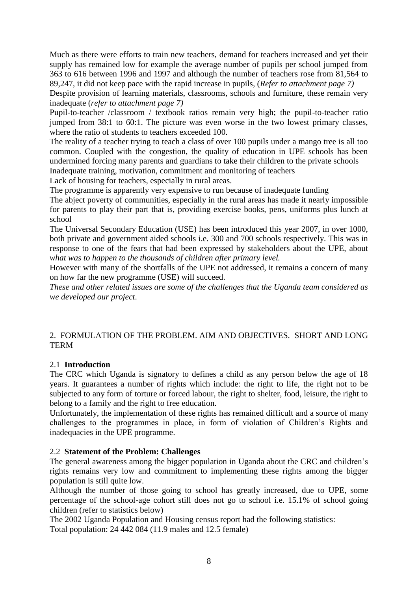Much as there were efforts to train new teachers, demand for teachers increased and yet their supply has remained low for example the average number of pupils per school jumped from 363 to 616 between 1996 and 1997 and although the number of teachers rose from 81,564 to 89,247, it did not keep pace with the rapid increase in pupils, (*Refer to attachment page 7)*

Despite provision of learning materials, classrooms, schools and furniture, these remain very inadequate (*refer to attachment page 7)*

Pupil-to-teacher /classroom / textbook ratios remain very high; the pupil-to-teacher ratio jumped from 38:1 to 60:1. The picture was even worse in the two lowest primary classes, where the ratio of students to teachers exceeded 100.

The reality of a teacher trying to teach a class of over 100 pupils under a mango tree is all too common. Coupled with the congestion, the quality of education in UPE schools has been undermined forcing many parents and guardians to take their children to the private schools Inadequate training, motivation, commitment and monitoring of teachers

Lack of housing for teachers, especially in rural areas.

The programme is apparently very expensive to run because of inadequate funding

The abject poverty of communities, especially in the rural areas has made it nearly impossible for parents to play their part that is, providing exercise books, pens, uniforms plus lunch at school

The Universal Secondary Education (USE) has been introduced this year 2007, in over 1000, both private and government aided schools i.e. 300 and 700 schools respectively. This was in response to one of the fears that had been expressed by stakeholders about the UPE, about *what was to happen to the thousands of children after primary level.*

However with many of the shortfalls of the UPE not addressed, it remains a concern of many on how far the new programme (USE) will succeed.

*These and other related issues are some of the challenges that the Uganda team considered as we developed our project.*

## 2. FORMULATION OF THE PROBLEM. AIM AND OBJECTIVES. SHORT AND LONG **TERM**

# 2.1 **Introduction**

The CRC which Uganda is signatory to defines a child as any person below the age of 18 years. It guarantees a number of rights which include: the right to life, the right not to be subjected to any form of torture or forced labour, the right to shelter, food, leisure, the right to belong to a family and the right to free education.

Unfortunately, the implementation of these rights has remained difficult and a source of many challenges to the programmes in place, in form of violation of Children's Rights and inadequacies in the UPE programme.

# 2.2 **Statement of the Problem: Challenges**

The general awareness among the bigger population in Uganda about the CRC and children's rights remains very low and commitment to implementing these rights among the bigger population is still quite low.

Although the number of those going to school has greatly increased, due to UPE, some percentage of the school-age cohort still does not go to school i.e. 15.1% of school going children (refer to statistics below)

The 2002 Uganda Population and Housing census report had the following statistics: Total population: 24 442 084 (11.9 males and 12.5 female)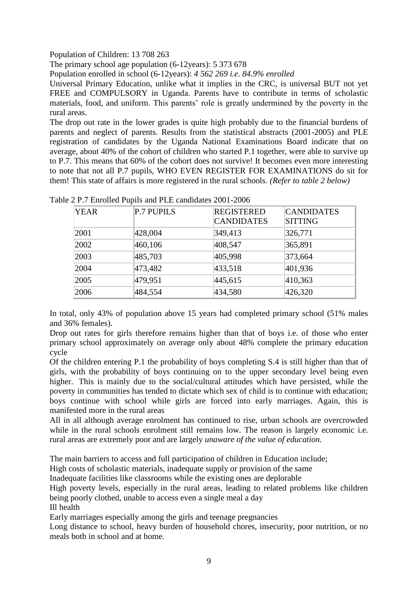Population of Children: 13 708 263

The primary school age population (6-12years): 5 373 678

Population enrolled in school (6-12years): *4 562 269 i.e*. *84.9% enrolled*

Universal Primary Education, unlike what it implies in the CRC, is universal BUT not yet FREE and COMPULSORY in Uganda. Parents have to contribute in terms of scholastic materials, food, and uniform. This parents' role is greatly undermined by the poverty in the rural areas.

The drop out rate in the lower grades is quite high probably due to the financial burdens of parents and neglect of parents. Results from the statistical abstracts (2001-2005) and PLE registration of candidates by the Uganda National Examinations Board indicate that on average, about 40% of the cohort of children who started P.1 together, were able to survive up to P.7. This means that 60% of the cohort does not survive! It becomes even more interesting to note that not all P.7 pupils, WHO EVEN REGISTER FOR EXAMINATIONS do sit for them! This state of affairs is more registered in the rural schools. *(Refer to table 2 below)*

| <b>YEAR</b> | <b>P.7 PUPILS</b> | <b>REGISTERED</b><br><b>CANDIDATES</b> | <b>CANDIDATES</b><br><b>SITTING</b> |
|-------------|-------------------|----------------------------------------|-------------------------------------|
| 2001        | 428,004           | 349,413                                | 326,771                             |
| 2002        | 460,106           | 408,547                                | 365,891                             |
| 2003        | 485,703           | 405,998                                | 373,664                             |
| 2004        | 473,482           | 433,518                                | 401,936                             |
| 2005        | 479,951           | 445,615                                | 410,363                             |
| 2006        | 484,554           | 434,580                                | 426,320                             |

Table 2 P.7 Enrolled Pupils and PLE candidates 2001-2006

In total, only 43% of population above 15 years had completed primary school (51% males and 36% females).

Drop out rates for girls therefore remains higher than that of boys i.e. of those who enter primary school approximately on average only about 48% complete the primary education cycle

Of the children entering P.1 the probability of boys completing S.4 is still higher than that of girls, with the probability of boys continuing on to the upper secondary level being even higher. This is mainly due to the social/cultural attitudes which have persisted, while the poverty in communities has tended to dictate which sex of child is to continue with education; boys continue with school while girls are forced into early marriages. Again, this is manifested more in the rural areas

All in all although average enrolment has continued to rise, urban schools are overcrowded while in the rural schools enrolment still remains low. The reason is largely economic i.e. rural areas are extremely poor and are largely *unaware of the value of education.*

The main barriers to access and full participation of children in Education include;

High costs of scholastic materials, inadequate supply or provision of the same

Inadequate facilities like classrooms while the existing ones are deplorable

High poverty levels, especially in the rural areas, leading to related problems like children being poorly clothed, unable to access even a single meal a day

Ill health

Early marriages especially among the girls and teenage pregnancies

Long distance to school, heavy burden of household chores, insecurity, poor nutrition, or no meals both in school and at home.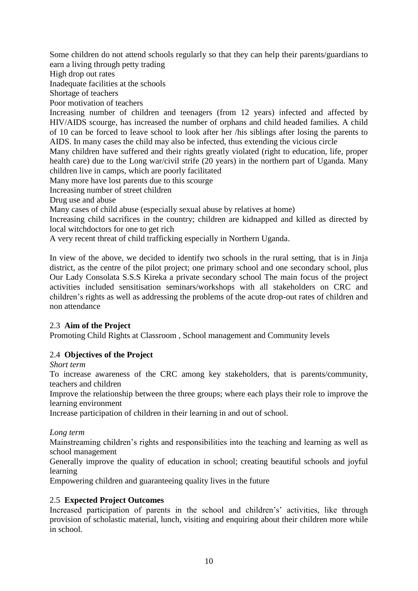Some children do not attend schools regularly so that they can help their parents/guardians to earn a living through petty trading

High drop out rates

Inadequate facilities at the schools

Shortage of teachers

Poor motivation of teachers

Increasing number of children and teenagers (from 12 years) infected and affected by HIV/AIDS scourge, has increased the number of orphans and child headed families. A child of 10 can be forced to leave school to look after her /his siblings after losing the parents to AIDS. In many cases the child may also be infected, thus extending the vicious circle

Many children have suffered and their rights greatly violated (right to education, life, proper health care) due to the Long war/civil strife (20 years) in the northern part of Uganda. Many children live in camps, which are poorly facilitated

Many more have lost parents due to this scourge

Increasing number of street children

Drug use and abuse

Many cases of child abuse (especially sexual abuse by relatives at home)

Increasing child sacrifices in the country; children are kidnapped and killed as directed by local witchdoctors for one to get rich

A very recent threat of child trafficking especially in Northern Uganda.

In view of the above, we decided to identify two schools in the rural setting, that is in Jinja district, as the centre of the pilot project; one primary school and one secondary school, plus Our Lady Consolata S.S.S Kireka a private secondary school The main focus of the project activities included sensitisation seminars/workshops with all stakeholders on CRC and children's rights as well as addressing the problems of the acute drop-out rates of children and non attendance

# 2.3 **Aim of the Project**

Promoting Child Rights at Classroom , School management and Community levels

# 2.4 **Objectives of the Project**

*Short term*

To increase awareness of the CRC among key stakeholders, that is parents/community, teachers and children

Improve the relationship between the three groups; where each plays their role to improve the learning environment

Increase participation of children in their learning in and out of school.

*Long term*

Mainstreaming children's rights and responsibilities into the teaching and learning as well as school management

Generally improve the quality of education in school; creating beautiful schools and joyful learning

Empowering children and guaranteeing quality lives in the future

# 2.5 **Expected Project Outcomes**

Increased participation of parents in the school and children's' activities, like through provision of scholastic material, lunch, visiting and enquiring about their children more while in school.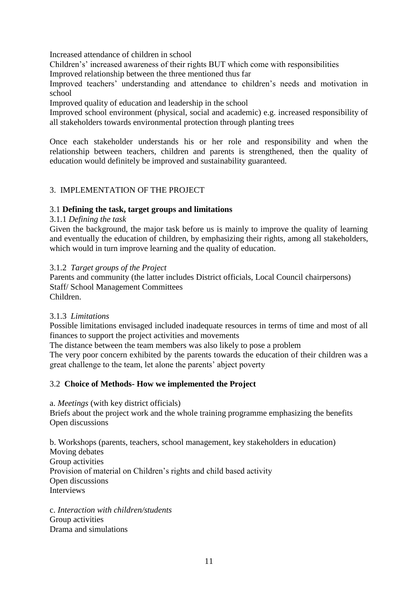Increased attendance of children in school

Children's' increased awareness of their rights BUT which come with responsibilities

Improved relationship between the three mentioned thus far

Improved teachers' understanding and attendance to children's needs and motivation in school

Improved quality of education and leadership in the school

Improved school environment (physical, social and academic) e.g. increased responsibility of all stakeholders towards environmental protection through planting trees

Once each stakeholder understands his or her role and responsibility and when the relationship between teachers, children and parents is strengthened, then the quality of education would definitely be improved and sustainability guaranteed.

# 3. IMPLEMENTATION OF THE PROJECT

# 3.1 **Defining the task, target groups and limitations**

## 3.1.1 *Defining the task*

Given the background, the major task before us is mainly to improve the quality of learning and eventually the education of children, by emphasizing their rights, among all stakeholders, which would in turn improve learning and the quality of education.

## 3.1.2 *Target groups of the Project*

Parents and community (the latter includes District officials, Local Council chairpersons) Staff/ School Management Committees Children.

#### 3.1.3 *Limitations*

Possible limitations envisaged included inadequate resources in terms of time and most of all finances to support the project activities and movements

The distance between the team members was also likely to pose a problem

The very poor concern exhibited by the parents towards the education of their children was a great challenge to the team, let alone the parents' abject poverty

# 3.2 **Choice of Methods- How we implemented the Project**

a. *Meetings* (with key district officials)

Briefs about the project work and the whole training programme emphasizing the benefits Open discussions

b. Workshops (parents, teachers, school management, key stakeholders in education) Moving debates Group activities Provision of material on Children's rights and child based activity Open discussions Interviews

c. *Interaction with children/students* Group activities Drama and simulations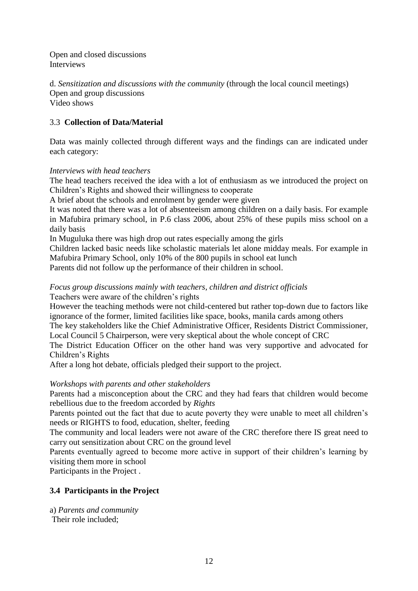Open and closed discussions Interviews

d. *Sensitization and discussions with the community* (through the local council meetings) Open and group discussions Video shows

# 3.3 **Collection of Data/Material**

Data was mainly collected through different ways and the findings can are indicated under each category:

#### *Interviews with head teachers*

The head teachers received the idea with a lot of enthusiasm as we introduced the project on Children's Rights and showed their willingness to cooperate

A brief about the schools and enrolment by gender were given

It was noted that there was a lot of absenteeism among children on a daily basis. For example in Mafubira primary school, in P.6 class 2006, about 25% of these pupils miss school on a daily basis

In Muguluka there was high drop out rates especially among the girls

Children lacked basic needs like scholastic materials let alone midday meals. For example in Mafubira Primary School, only 10% of the 800 pupils in school eat lunch

Parents did not follow up the performance of their children in school.

#### *Focus group discussions mainly with teachers, children and district officials* Teachers were aware of the children's rights

However the teaching methods were not child-centered but rather top-down due to factors like ignorance of the former, limited facilities like space, books, manila cards among others

The key stakeholders like the Chief Administrative Officer, Residents District Commissioner, Local Council 5 Chairperson, were very skeptical about the whole concept of CRC

The District Education Officer on the other hand was very supportive and advocated for Children's Rights

After a long hot debate, officials pledged their support to the project.

# *Workshops with parents and other stakeholders*

Parents had a misconception about the CRC and they had fears that children would become rebellious due to the freedom accorded by *Rights*

Parents pointed out the fact that due to acute poverty they were unable to meet all children's needs or RIGHTS to food, education, shelter, feeding

The community and local leaders were not aware of the CRC therefore there IS great need to carry out sensitization about CRC on the ground level

Parents eventually agreed to become more active in support of their children's learning by visiting them more in school

Participants in the Project .

# **3.4 Participants in the Project**

a) *Parents and community*

Their role included;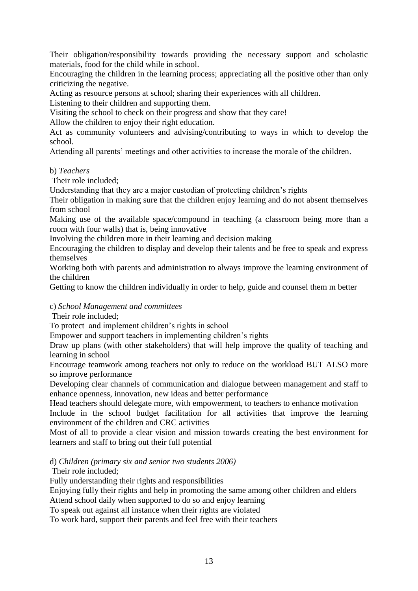Their obligation/responsibility towards providing the necessary support and scholastic materials, food for the child while in school.

Encouraging the children in the learning process; appreciating all the positive other than only criticizing the negative.

Acting as resource persons at school; sharing their experiences with all children.

Listening to their children and supporting them.

Visiting the school to check on their progress and show that they care!

Allow the children to enjoy their right education.

Act as community volunteers and advising/contributing to ways in which to develop the school.

Attending all parents' meetings and other activities to increase the morale of the children.

## b) *Teachers*

Their role included;

Understanding that they are a major custodian of protecting children's rights

Their obligation in making sure that the children enjoy learning and do not absent themselves from school

Making use of the available space/compound in teaching (a classroom being more than a room with four walls) that is, being innovative

Involving the children more in their learning and decision making

Encouraging the children to display and develop their talents and be free to speak and express themselves

Working both with parents and administration to always improve the learning environment of the children

Getting to know the children individually in order to help, guide and counsel them m better

# c) *School Management and committees*

Their role included;

To protect and implement children's rights in school

Empower and support teachers in implementing children's rights

Draw up plans (with other stakeholders) that will help improve the quality of teaching and learning in school

Encourage teamwork among teachers not only to reduce on the workload BUT ALSO more so improve performance

Developing clear channels of communication and dialogue between management and staff to enhance openness, innovation, new ideas and better performance

Head teachers should delegate more, with empowerment, to teachers to enhance motivation

Include in the school budget facilitation for all activities that improve the learning environment of the children and CRC activities

Most of all to provide a clear vision and mission towards creating the best environment for learners and staff to bring out their full potential

d) *Children (primary six and senior two students 2006)*

Their role included;

Fully understanding their rights and responsibilities

Enjoying fully their rights and help in promoting the same among other children and elders Attend school daily when supported to do so and enjoy learning

To speak out against all instance when their rights are violated

To work hard, support their parents and feel free with their teachers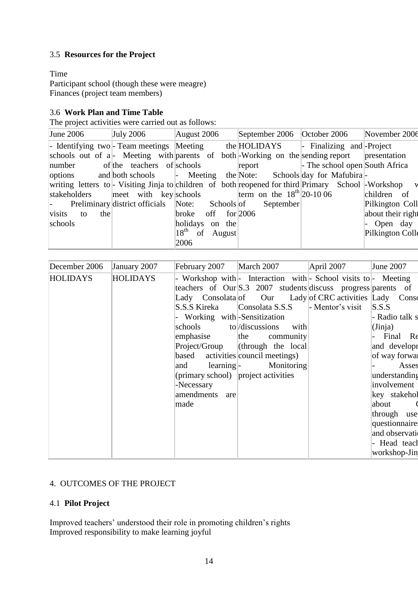# 3.5 **Resources for the Project**

# Time

Participant school (though these were meagre) Finances (project team members)

# 3.6 **Work Plan and Time Table**

The project activities were carried out as follows:

| June 2006        | July 2006                                       | August 2006          | September 2006 $\vert$ October 2006                                                                  | November 2006     |
|------------------|-------------------------------------------------|----------------------|------------------------------------------------------------------------------------------------------|-------------------|
|                  |                                                 |                      | - Identifying two- Team meetings Meeting the HOLIDAYS - Finalizing and Project                       |                   |
|                  |                                                 |                      | schools out of a  - Meeting with parents of both Working on the sending report presentation          |                   |
|                  | number of the teachers of schools               |                      | report Free School open South Africa                                                                 |                   |
|                  |                                                 |                      | options and both schools - Meeting the Note: Schools day for Mafubira                                |                   |
|                  |                                                 |                      | writing letters to - Visiting Jinja to children of both reopened for third Primary School - Workshop |                   |
|                  |                                                 |                      |                                                                                                      | children of       |
| $\sim 100$       | Preliminary district officials Note: Schools of |                      | September                                                                                            | Pilkington Coll   |
| visits to<br>the |                                                 | broke off $for 2006$ |                                                                                                      | about their right |
| schools          |                                                 | holidays on the      |                                                                                                      | - Open day        |
|                  |                                                 | $18th$ of August     |                                                                                                      | Pilkington Colle  |
|                  |                                                 | 2006                 |                                                                                                      |                   |

| December 2006   | January 2007    | February 2007                       | March 2007                                                      | April 2007       | June 2007       |
|-----------------|-----------------|-------------------------------------|-----------------------------------------------------------------|------------------|-----------------|
| <b>HOLIDAYS</b> | <b>HOLIDAYS</b> |                                     | - Workshop with - Interaction with - School visits to - Meeting |                  |                 |
|                 |                 |                                     | teachers of Our S.3 2007 students discuss progress parents of   |                  |                 |
|                 |                 |                                     | Lady Consolata of Our Lady of CRC activities Lady               |                  | Conso           |
|                 |                 | S.S.S Kireka                        | Consolata S.S.S                                                 | - Mentor's visit | S.S.S           |
|                 |                 | - Working with-Sensitization        |                                                                 |                  | - Radio talk s  |
|                 |                 | schools to //discussions            | with                                                            |                  | (Jinja)         |
|                 |                 | emphasise                           | the<br>community                                                |                  | Final Re        |
|                 |                 | Project/Group                       | $\left  \text{ (through the local} \right $                     |                  | and developr    |
|                 |                 |                                     | based activities council meetings)                              |                  | of way forwar   |
|                 |                 |                                     | and learning- Monitoring                                        |                  | Asses           |
|                 |                 | (primary school) project activities |                                                                 |                  | understanding   |
|                 |                 | -Necessary                          |                                                                 |                  | involvement     |
|                 |                 | amendments<br>are                   |                                                                 |                  | key stakehol    |
|                 |                 | made                                |                                                                 |                  | about           |
|                 |                 |                                     |                                                                 |                  | through use     |
|                 |                 |                                     |                                                                 |                  | questionnaire   |
|                 |                 |                                     |                                                                 |                  | and observation |
|                 |                 |                                     |                                                                 |                  | - Head teach    |
|                 |                 |                                     |                                                                 |                  | workshop-Jin    |

# 4. OUTCOMES OF THE PROJECT

# 4.1 **Pilot Project**

Improved teachers' understood their role in promoting children's rights Improved responsibility to make learning joyful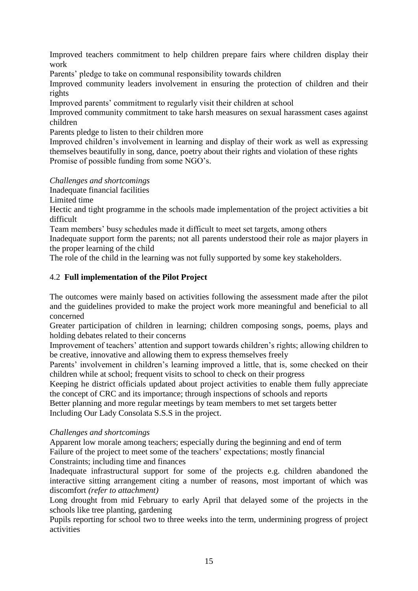Improved teachers commitment to help children prepare fairs where children display their work

Parents' pledge to take on communal responsibility towards children

Improved community leaders involvement in ensuring the protection of children and their rights

Improved parents' commitment to regularly visit their children at school

Improved community commitment to take harsh measures on sexual harassment cases against children

Parents pledge to listen to their children more

Improved children's involvement in learning and display of their work as well as expressing themselves beautifully in song, dance, poetry about their rights and violation of these rights Promise of possible funding from some NGO's.

*Challenges and shortcomings*

Inadequate financial facilities

Limited time

Hectic and tight programme in the schools made implementation of the project activities a bit difficult

Team members' busy schedules made it difficult to meet set targets, among others

Inadequate support form the parents; not all parents understood their role as major players in the proper learning of the child

The role of the child in the learning was not fully supported by some key stakeholders.

## 4.2 **Full implementation of the Pilot Project**

The outcomes were mainly based on activities following the assessment made after the pilot and the guidelines provided to make the project work more meaningful and beneficial to all concerned

Greater participation of children in learning; children composing songs, poems, plays and holding debates related to their concerns

Improvement of teachers' attention and support towards children's rights; allowing children to be creative, innovative and allowing them to express themselves freely

Parents' involvement in children's learning improved a little, that is, some checked on their children while at school; frequent visits to school to check on their progress

Keeping he district officials updated about project activities to enable them fully appreciate the concept of CRC and its importance; through inspections of schools and reports

Better planning and more regular meetings by team members to met set targets better Including Our Lady Consolata S.S.S in the project.

#### *Challenges and shortcomings*

Apparent low morale among teachers; especially during the beginning and end of term Failure of the project to meet some of the teachers' expectations; mostly financial Constraints; including time and finances

Inadequate infrastructural support for some of the projects e.g. children abandoned the interactive sitting arrangement citing a number of reasons, most important of which was discomfort *(refer to attachment)*

Long drought from mid February to early April that delayed some of the projects in the schools like tree planting, gardening

Pupils reporting for school two to three weeks into the term, undermining progress of project activities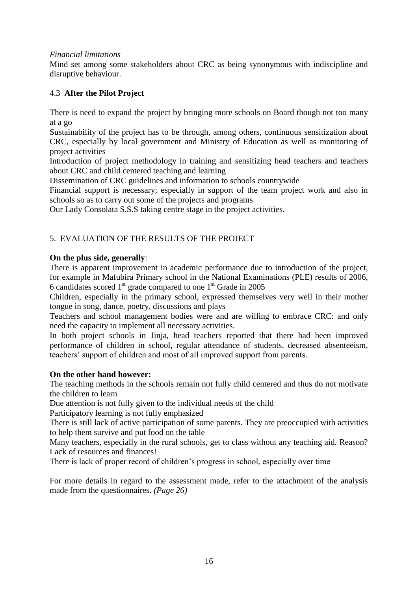#### *Financial limitations*

Mind set among some stakeholders about CRC as being synonymous with indiscipline and disruptive behaviour.

# 4.3 **After the Pilot Project**

There is need to expand the project by bringing more schools on Board though not too many at a go

Sustainability of the project has to be through, among others, continuous sensitization about CRC, especially by local government and Ministry of Education as well as monitoring of project activities

Introduction of project methodology in training and sensitizing head teachers and teachers about CRC and child centered teaching and learning

Dissemination of CRC guidelines and information to schools countrywide

Financial support is necessary; especially in support of the team project work and also in schools so as to carry out some of the projects and programs

Our Lady Consolata S.S.S taking centre stage in the project activities.

# 5. EVALUATION OF THE RESULTS OF THE PROJECT

## **On the plus side, generally**:

There is apparent improvement in academic performance due to introduction of the project, for example in Mafubira Primary school in the National Examinations (PLE) results of 2006, 6 candidates scored  $1<sup>st</sup>$  grade compared to one  $1<sup>st</sup>$  Grade in 2005

Children, especially in the primary school, expressed themselves very well in their mother tongue in song, dance, poetry, discussions and plays

Teachers and school management bodies were and are willing to embrace CRC: and only need the capacity to implement all necessary activities.

In both project schools in Jinja, head teachers reported that there had been improved performance of children in school, regular attendance of students, decreased absenteeism, teachers' support of children and most of all improved support from parents.

#### **On the other hand however:**

The teaching methods in the schools remain not fully child centered and thus do not motivate the children to learn

Due attention is not fully given to the individual needs of the child

Participatory learning is not fully emphasized

There is still lack of active participation of some parents. They are preoccupied with activities to help them survive and put food on the table

Many teachers, especially in the rural schools, get to class without any teaching aid. Reason? Lack of resources and finances!

There is lack of proper record of children's progress in school, especially over time

For more details in regard to the assessment made, refer to the attachment of the analysis made from the questionnaires. *(Page 26)*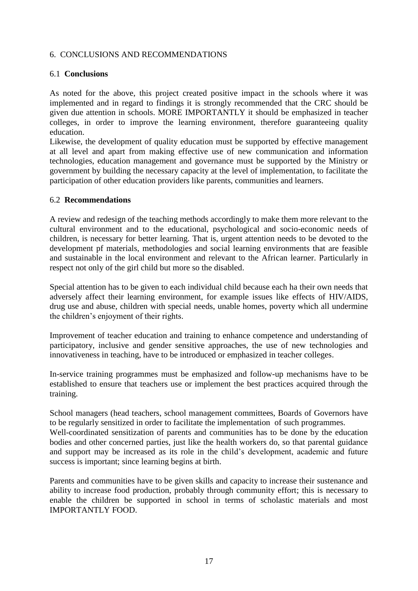## 6. CONCLUSIONS AND RECOMMENDATIONS

## 6.1 **Conclusions**

As noted for the above, this project created positive impact in the schools where it was implemented and in regard to findings it is strongly recommended that the CRC should be given due attention in schools. MORE IMPORTANTLY it should be emphasized in teacher colleges, in order to improve the learning environment, therefore guaranteeing quality education.

Likewise, the development of quality education must be supported by effective management at all level and apart from making effective use of new communication and information technologies, education management and governance must be supported by the Ministry or government by building the necessary capacity at the level of implementation, to facilitate the participation of other education providers like parents, communities and learners.

#### 6.2 **Recommendations**

A review and redesign of the teaching methods accordingly to make them more relevant to the cultural environment and to the educational, psychological and socio-economic needs of children, is necessary for better learning. That is, urgent attention needs to be devoted to the development pf materials, methodologies and social learning environments that are feasible and sustainable in the local environment and relevant to the African learner. Particularly in respect not only of the girl child but more so the disabled.

Special attention has to be given to each individual child because each ha their own needs that adversely affect their learning environment, for example issues like effects of HIV/AIDS, drug use and abuse, children with special needs, unable homes, poverty which all undermine the children's enjoyment of their rights.

Improvement of teacher education and training to enhance competence and understanding of participatory, inclusive and gender sensitive approaches, the use of new technologies and innovativeness in teaching, have to be introduced or emphasized in teacher colleges.

In-service training programmes must be emphasized and follow-up mechanisms have to be established to ensure that teachers use or implement the best practices acquired through the training.

School managers (head teachers, school management committees, Boards of Governors have to be regularly sensitized in order to facilitate the implementation of such programmes. Well-coordinated sensitization of parents and communities has to be done by the education bodies and other concerned parties, just like the health workers do, so that parental guidance and support may be increased as its role in the child's development, academic and future success is important; since learning begins at birth.

Parents and communities have to be given skills and capacity to increase their sustenance and ability to increase food production, probably through community effort; this is necessary to enable the children be supported in school in terms of scholastic materials and most IMPORTANTLY FOOD.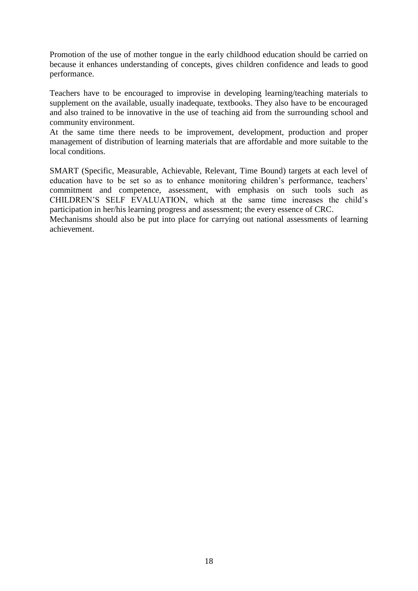Promotion of the use of mother tongue in the early childhood education should be carried on because it enhances understanding of concepts, gives children confidence and leads to good performance.

Teachers have to be encouraged to improvise in developing learning/teaching materials to supplement on the available, usually inadequate, textbooks. They also have to be encouraged and also trained to be innovative in the use of teaching aid from the surrounding school and community environment.

At the same time there needs to be improvement, development, production and proper management of distribution of learning materials that are affordable and more suitable to the local conditions.

SMART (Specific, Measurable, Achievable, Relevant, Time Bound) targets at each level of education have to be set so as to enhance monitoring children's performance, teachers' commitment and competence, assessment, with emphasis on such tools such as CHILDREN'S SELF EVALUATION, which at the same time increases the child's participation in her/his learning progress and assessment; the every essence of CRC.

Mechanisms should also be put into place for carrying out national assessments of learning achievement.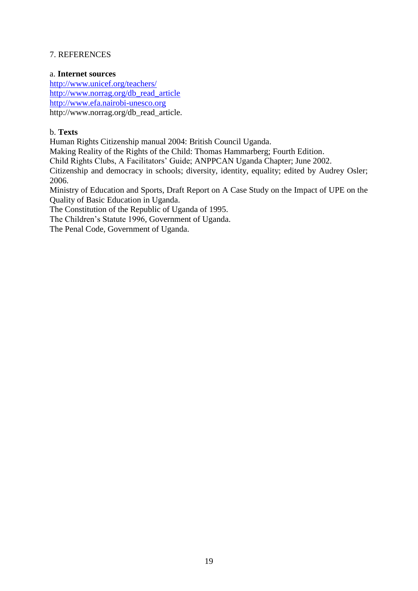# 7. REFERENCES

## a. **Internet sources**

<http://www.unicef.org/teachers/> [http://www.norrag.org/db\\_read\\_article](http://www.norrag.org/db_read_article) [http://www.efa.nairobi-unesco.org](http://www.efa.nairobi-unesco.org/) http://www.norrag.org/db\_read\_article.

## b. **Texts**

Human Rights Citizenship manual 2004: British Council Uganda.

Making Reality of the Rights of the Child: Thomas Hammarberg; Fourth Edition.

Child Rights Clubs, A Facilitators' Guide; ANPPCAN Uganda Chapter; June 2002.

Citizenship and democracy in schools; diversity, identity, equality; edited by Audrey Osler; 2006.

Ministry of Education and Sports, Draft Report on A Case Study on the Impact of UPE on the Quality of Basic Education in Uganda.

The Constitution of the Republic of Uganda of 1995.

The Children's Statute 1996, Government of Uganda.

The Penal Code, Government of Uganda.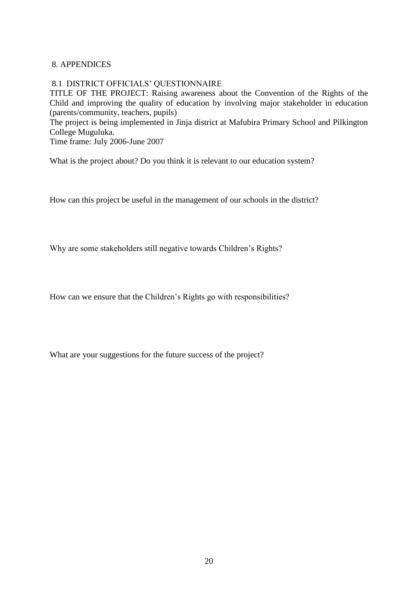## 8. APPENDICES

#### 8.1 DISTRICT OFFICIALS' QUESTIONNAIRE

TITLE OF THE PROJECT: Raising awareness about the Convention of the Rights of the Child and improving the quality of education by involving major stakeholder in education (parents/community, teachers, pupils)

The project is being implemented in Jinja district at Mafubira Primary School and Pilkington College Muguluka.

Time frame: July 2006-June 2007

What is the project about? Do you think it is relevant to our education system?

How can this project be useful in the management of our schools in the district?

Why are some stakeholders still negative towards Children's Rights?

How can we ensure that the Children's Rights go with responsibilities?

What are your suggestions for the future success of the project?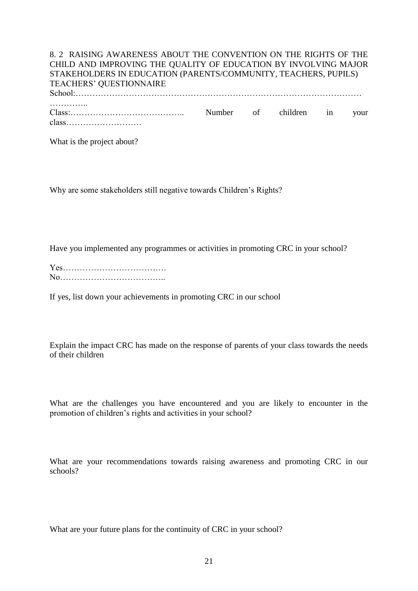### 8. 2 RAISING AWARENESS ABOUT THE CONVENTION ON THE RIGHTS OF THE CHILD AND IMPROVING THE QUALITY OF EDUCATION BY INVOLVING MAJOR STAKEHOLDERS IN EDUCATION (PARENTS/COMMUNITY, TEACHERS, PUPILS) TEACHERS' QUESTIONNAIRE School:………………………………………………………………………………………… …………… Class:………………………………….. Number of children in your

class………………………

What is the project about?

Why are some stakeholders still negative towards Children's Rights?

Have you implemented any programmes or activities in promoting CRC in your school?

If yes, list down your achievements in promoting CRC in our school

Explain the impact CRC has made on the response of parents of your class towards the needs of their children

What are the challenges you have encountered and you are likely to encounter in the promotion of children's rights and activities in your school?

What are your recommendations towards raising awareness and promoting CRC in our schools?

What are your future plans for the continuity of CRC in your school?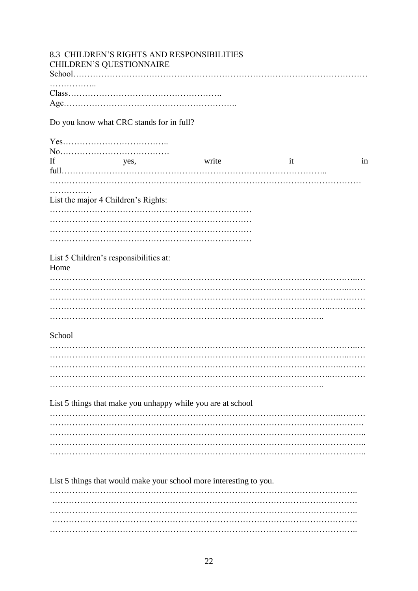|        |                                          | 8.3 CHILDREN'S RIGHTS AND RESPONSIBILITIES                         |    |    |
|--------|------------------------------------------|--------------------------------------------------------------------|----|----|
|        | CHILDREN'S QUESTIONNAIRE                 |                                                                    |    |    |
|        |                                          |                                                                    |    |    |
| .      |                                          |                                                                    |    |    |
|        |                                          |                                                                    |    |    |
|        |                                          |                                                                    |    |    |
|        | Do you know what CRC stands for in full? |                                                                    |    |    |
|        |                                          |                                                                    |    |    |
|        |                                          |                                                                    |    |    |
|        |                                          |                                                                    |    |    |
| If     | yes,                                     | write                                                              | it | in |
|        |                                          |                                                                    |    |    |
|        |                                          |                                                                    |    |    |
|        |                                          |                                                                    |    |    |
|        | List the major 4 Children's Rights:      |                                                                    |    |    |
|        |                                          |                                                                    |    |    |
|        |                                          |                                                                    |    |    |
|        |                                          |                                                                    |    |    |
|        |                                          |                                                                    |    |    |
|        |                                          |                                                                    |    |    |
| Home   | List 5 Children's responsibilities at:   |                                                                    |    |    |
|        |                                          |                                                                    |    |    |
|        |                                          |                                                                    |    |    |
|        |                                          |                                                                    |    |    |
|        |                                          |                                                                    |    |    |
|        |                                          |                                                                    |    |    |
|        |                                          |                                                                    |    |    |
| School |                                          |                                                                    |    |    |
|        |                                          |                                                                    |    |    |
|        |                                          |                                                                    |    |    |
|        |                                          |                                                                    |    |    |
|        |                                          |                                                                    |    |    |
|        |                                          |                                                                    |    |    |
|        |                                          |                                                                    |    |    |
|        |                                          | List 5 things that make you unhappy while you are at school        |    |    |
|        |                                          |                                                                    |    |    |
|        |                                          |                                                                    |    |    |
|        |                                          |                                                                    |    |    |
|        |                                          |                                                                    |    |    |
|        |                                          |                                                                    |    |    |
|        |                                          |                                                                    |    |    |
|        |                                          |                                                                    |    |    |
|        |                                          | List 5 things that would make your school more interesting to you. |    |    |
|        |                                          |                                                                    |    |    |
|        |                                          |                                                                    |    |    |
|        |                                          |                                                                    |    |    |
|        |                                          |                                                                    |    |    |
|        |                                          |                                                                    |    |    |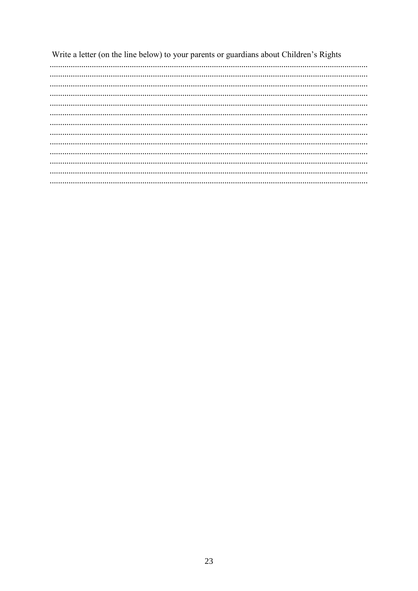Write a letter (on the line below) to your parents or guardians about Children's Rights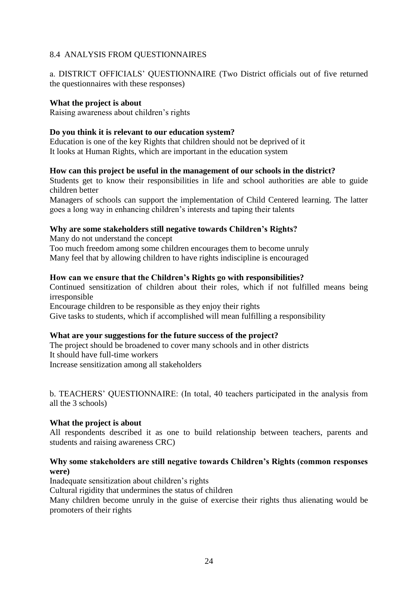# 8.4 ANALYSIS FROM QUESTIONNAIRES

a. DISTRICT OFFICIALS' QUESTIONNAIRE (Two District officials out of five returned the questionnaires with these responses)

## **What the project is about**

Raising awareness about children's rights

## **Do you think it is relevant to our education system?**

Education is one of the key Rights that children should not be deprived of it It looks at Human Rights, which are important in the education system

## **How can this project be useful in the management of our schools in the district?**

Students get to know their responsibilities in life and school authorities are able to guide children better

Managers of schools can support the implementation of Child Centered learning. The latter goes a long way in enhancing children's interests and taping their talents

## **Why are some stakeholders still negative towards Children's Rights?**

Many do not understand the concept Too much freedom among some children encourages them to become unruly Many feel that by allowing children to have rights indiscipline is encouraged

## **How can we ensure that the Children's Rights go with responsibilities?**

Continued sensitization of children about their roles, which if not fulfilled means being irresponsible

Encourage children to be responsible as they enjoy their rights

Give tasks to students, which if accomplished will mean fulfilling a responsibility

# **What are your suggestions for the future success of the project?**

The project should be broadened to cover many schools and in other districts It should have full-time workers Increase sensitization among all stakeholders

b. TEACHERS' QUESTIONNAIRE: (In total, 40 teachers participated in the analysis from all the 3 schools)

#### **What the project is about**

All respondents described it as one to build relationship between teachers, parents and students and raising awareness CRC)

## **Why some stakeholders are still negative towards Children's Rights (common responses were)**

Inadequate sensitization about children's rights

Cultural rigidity that undermines the status of children

Many children become unruly in the guise of exercise their rights thus alienating would be promoters of their rights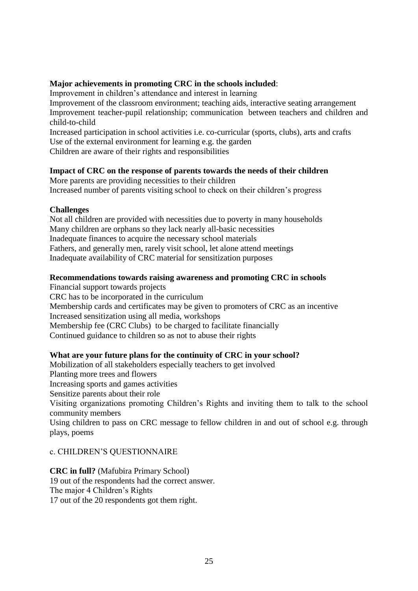## **Major achievements in promoting CRC in the schools included**:

Improvement in children's attendance and interest in learning

Improvement of the classroom environment; teaching aids, interactive seating arrangement Improvement teacher-pupil relationship; communication between teachers and children and child-to-child

Increased participation in school activities i.e. co-curricular (sports, clubs), arts and crafts Use of the external environment for learning e.g. the garden

Children are aware of their rights and responsibilities

# **Impact of CRC on the response of parents towards the needs of their children**

More parents are providing necessities to their children Increased number of parents visiting school to check on their children's progress

## **Challenges**

Not all children are provided with necessities due to poverty in many households Many children are orphans so they lack nearly all-basic necessities Inadequate finances to acquire the necessary school materials Fathers, and generally men, rarely visit school, let alone attend meetings Inadequate availability of CRC material for sensitization purposes

## **Recommendations towards raising awareness and promoting CRC in schools**

Financial support towards projects CRC has to be incorporated in the curriculum Membership cards and certificates may be given to promoters of CRC as an incentive Increased sensitization using all media, workshops Membership fee (CRC Clubs) to be charged to facilitate financially Continued guidance to children so as not to abuse their rights

# **What are your future plans for the continuity of CRC in your school?**

Mobilization of all stakeholders especially teachers to get involved

Planting more trees and flowers

Increasing sports and games activities

Sensitize parents about their role

Visiting organizations promoting Children's Rights and inviting them to talk to the school community members

Using children to pass on CRC message to fellow children in and out of school e.g. through plays, poems

# c. CHILDREN'S QUESTIONNAIRE

**CRC in full?** (Mafubira Primary School) 19 out of the respondents had the correct answer. The major 4 Children's Rights 17 out of the 20 respondents got them right.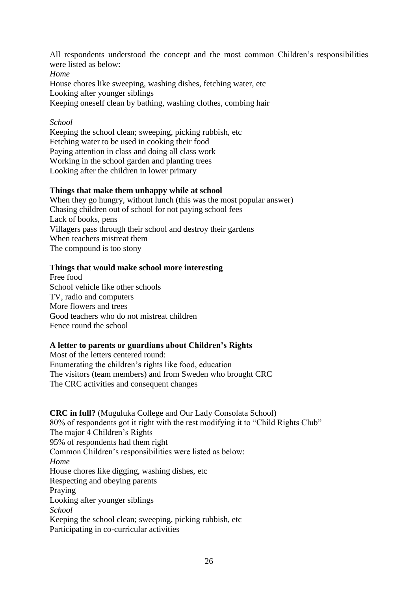All respondents understood the concept and the most common Children's responsibilities were listed as below:

*Home*

House chores like sweeping, washing dishes, fetching water, etc Looking after younger siblings

Keeping oneself clean by bathing, washing clothes, combing hair

# *School*

Keeping the school clean; sweeping, picking rubbish, etc Fetching water to be used in cooking their food Paying attention in class and doing all class work Working in the school garden and planting trees Looking after the children in lower primary

# **Things that make them unhappy while at school**

When they go hungry, without lunch (this was the most popular answer) Chasing children out of school for not paying school fees Lack of books, pens Villagers pass through their school and destroy their gardens When teachers mistreat them The compound is too stony

# **Things that would make school more interesting**

Free food School vehicle like other schools TV, radio and computers More flowers and trees Good teachers who do not mistreat children Fence round the school

# **A letter to parents or guardians about Children's Rights**

Most of the letters centered round: Enumerating the children's rights like food, education The visitors (team members) and from Sweden who brought CRC The CRC activities and consequent changes

**CRC in full?** (Muguluka College and Our Lady Consolata School) 80% of respondents got it right with the rest modifying it to "Child Rights Club" The major 4 Children's Rights 95% of respondents had them right Common Children's responsibilities were listed as below: *Home* House chores like digging, washing dishes, etc Respecting and obeying parents Praying Looking after younger siblings *School* Keeping the school clean; sweeping, picking rubbish, etc Participating in co-curricular activities